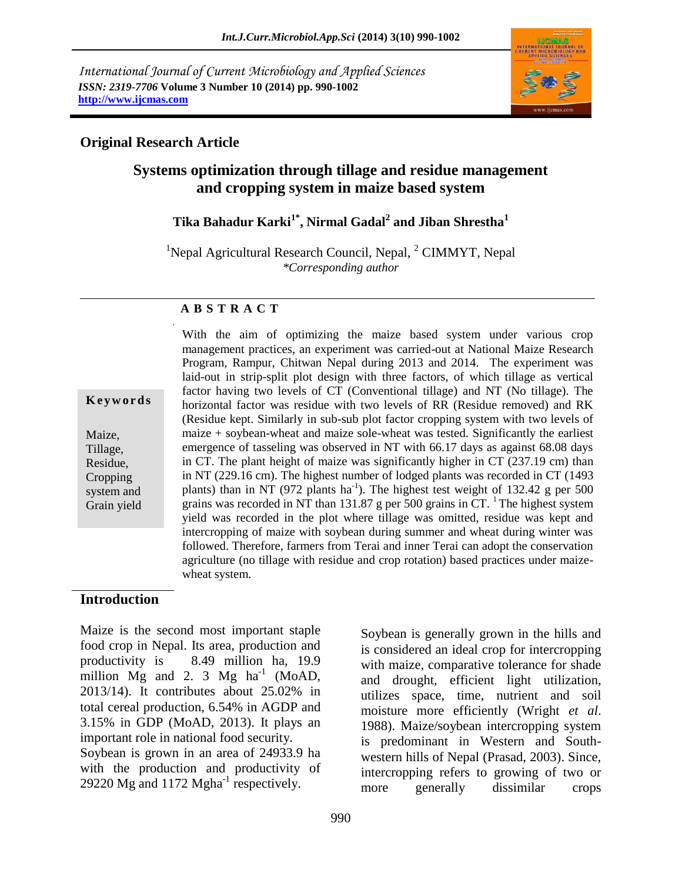*International Journal of Current Microbiology and Applied Sciences ISSN: 2319-7706* **Volume 3 Number 10 (2014) pp. 990-1002 http://www.ijcmas.com**



#### **Original Research Article**

## **Systems optimization through tillage and residue management and cropping system in maize based system**

## **Tika Bahadur Karki1\* , Nirmal Gadal<sup>2</sup> and Jiban Shrestha<sup>1</sup>**

<sup>1</sup>Nepal Agricultural Research Council, Nepal,  ${}^{2}$  CIMMYT, Nepal *\*Corresponding author* 

#### **A B S T R A C T**

**K e y w o r d s**

Maize, Tillage, Residue, **Cropping** system and Grain yield management practices, an experiment was carried-out at National Maize Research Program, Rampur, Chitwan Nepal during 2013 and 2014. The experiment was laid-out in strip-split plot design with three factors, of which tillage as vertical factor having two levels of CT (Conventional tillage) and NT (No tillage). The horizontal factor was residue with two levels of RR (Residue removed) and RK (Residue kept. Similarly in sub-sub plot factor cropping system with two levels of maize + soybean-wheat and maize sole-wheat was tested. Significantly the earliest emergence of tasseling was observed in NT with 66.17 days as against 68.08 days in CT. The plant height of maize was significantly higher in CT (237.19 cm) than in NT (229.16 cm). The highest number of lodged plants was recorded in CT (1493 plants) than in NT (972 plants ha<sup>-1</sup>). The highest test weight of 132.42 g per 500 grains was recorded in NT than 131.87 g per 500 grains in  $CT$ . The highest system yield was recorded in the plot where tillage was omitted, residue was kept and intercropping of maize with soybean during summer and wheat during winter was followed. Therefore, farmers from Terai and inner Terai can adopt the conservation agriculture (no tillage with residue and crop rotation) based practices under maizewheat system.

With the aim of optimizing the maize based system under various crop

#### **Introduction**

Maize is the second most important staple food crop in Nepal. Its area, production and productivity is 8.49 million ha, 19.9 million  $Mg$  and 2. 3  $Mg$  ha<sup>-1</sup> (MoAD, 2013/14). It contributes about 25.02% in total cereal production, 6.54% in AGDP and 3.15% in GDP (MoAD, 2013). It plays an important role in national food security. Soybean is grown in an area of 24933.9 ha with the production and productivity of 29220 Mg and 1172 Mgha<sup>-1</sup> respectively.

Soybean is generally grown in the hills and is considered an ideal crop for intercropping with maize, comparative tolerance for shade and drought, efficient light utilization, utilizes space, time, nutrient and soil moisture more efficiently (Wright *et al*. 1988). Maize/soybean intercropping system is predominant in Western and Southwestern hills of Nepal (Prasad, 2003). Since, intercropping refers to growing of two or more generally dissimilar crops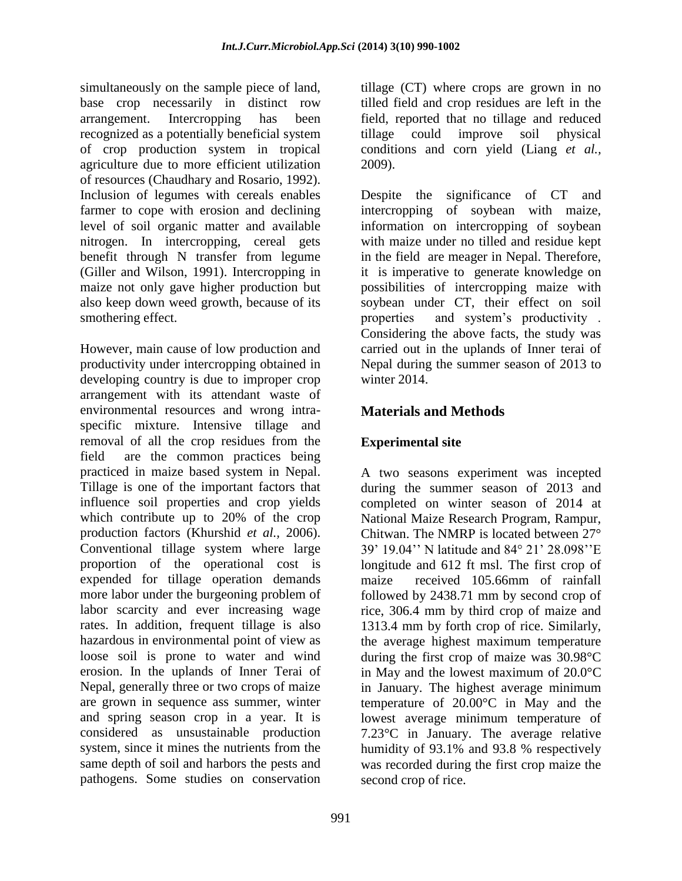simultaneously on the sample piece of land, base crop necessarily in distinct row arrangement. Intercropping has been recognized as a potentially beneficial system of crop production system in tropical agriculture due to more efficient utilization of resources (Chaudhary and Rosario, 1992). Inclusion of legumes with cereals enables farmer to cope with erosion and declining level of soil organic matter and available nitrogen. In intercropping, cereal gets benefit through N transfer from legume (Giller and Wilson, 1991). Intercropping in maize not only gave higher production but also keep down weed growth, because of its smothering effect.

However, main cause of low production and productivity under intercropping obtained in developing country is due to improper crop arrangement with its attendant waste of environmental resources and wrong intraspecific mixture. Intensive tillage and removal of all the crop residues from the field are the common practices being practiced in maize based system in Nepal. Tillage is one of the important factors that influence soil properties and crop yields which contribute up to 20% of the crop production factors (Khurshid *et al.,* 2006). Conventional tillage system where large proportion of the operational cost is expended for tillage operation demands more labor under the burgeoning problem of labor scarcity and ever increasing wage rates. In addition, frequent tillage is also hazardous in environmental point of view as loose soil is prone to water and wind erosion. In the uplands of Inner Terai of Nepal, generally three or two crops of maize are grown in sequence ass summer, winter and spring season crop in a year. It is considered as unsustainable production system, since it mines the nutrients from the same depth of soil and harbors the pests and pathogens. Some studies on conservation

tillage (CT) where crops are grown in no tilled field and crop residues are left in the field, reported that no tillage and reduced tillage could improve soil physical conditions and corn yield (Liang *et al.,* 2009).

Despite the significance of CT and intercropping of soybean with maize, information on intercropping of soybean with maize under no tilled and residue kept in the field are meager in Nepal. Therefore, it is imperative to generate knowledge on possibilities of intercropping maize with soybean under CT, their effect on soil properties and system's productivity . Considering the above facts, the study was carried out in the uplands of Inner terai of Nepal during the summer season of 2013 to winter 2014.

# **Materials and Methods**

## **Experimental site**

A two seasons experiment was incepted during the summer season of 2013 and completed on winter season of 2014 at National Maize Research Program, Rampur, Chitwan. The NMRP is located between 27° 39' 19.04'' N latitude and 84° 21' 28.098''E longitude and 612 ft msl. The first crop of maize received 105.66mm of rainfall followed by 2438.71 mm by second crop of rice, 306.4 mm by third crop of maize and 1313.4 mm by forth crop of rice. Similarly, the average highest maximum temperature during the first crop of maize was 30.98°C in May and the lowest maximum of 20.0°C in January. The highest average minimum temperature of 20.00°C in May and the lowest average minimum temperature of 7.23°C in January. The average relative humidity of 93.1% and 93.8 % respectively was recorded during the first crop maize the second crop of rice.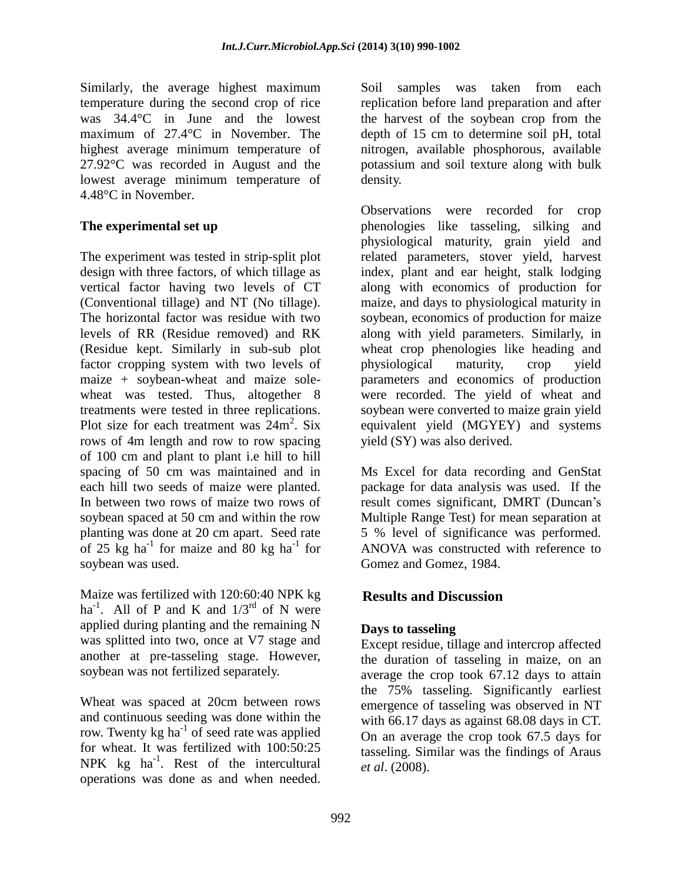Similarly, the average highest maximum temperature during the second crop of rice was 34.4°C in June and the lowest maximum of 27.4°C in November. The highest average minimum temperature of 27.92°C was recorded in August and the lowest average minimum temperature of 4.48°C in November.

### **The experimental set up**

The experiment was tested in strip-split plot design with three factors, of which tillage as vertical factor having two levels of CT (Conventional tillage) and NT (No tillage). The horizontal factor was residue with two levels of RR (Residue removed) and RK (Residue kept. Similarly in sub-sub plot factor cropping system with two levels of maize + soybean-wheat and maize solewheat was tested. Thus, altogether 8 treatments were tested in three replications. Plot size for each treatment was  $24m^2$ . Six rows of 4m length and row to row spacing of 100 cm and plant to plant i.e hill to hill spacing of 50 cm was maintained and in each hill two seeds of maize were planted. In between two rows of maize two rows of soybean spaced at 50 cm and within the row planting was done at 20 cm apart. Seed rate of 25 kg ha<sup>-1</sup> for maize and 80 kg ha<sup>-1</sup> for soybean was used.

Maize was fertilized with 120:60:40 NPK kg ha<sup>-1</sup>. All of P and K and  $1/3^{rd}$  of N were applied during planting and the remaining N was splitted into two, once at V7 stage and another at pre-tasseling stage. However, soybean was not fertilized separately.

Wheat was spaced at 20cm between rows and continuous seeding was done within the row. Twenty kg ha<sup>-1</sup> of seed rate was applied for wheat. It was fertilized with 100:50:25 NPK  $kg$  ha<sup>-1</sup>. Rest of the intercultural operations was done as and when needed.

Soil samples was taken from each replication before land preparation and after the harvest of the soybean crop from the depth of 15 cm to determine soil pH, total nitrogen, available phosphorous, available potassium and soil texture along with bulk density.

Observations were recorded for crop phenologies like tasseling, silking and physiological maturity, grain yield and related parameters, stover yield, harvest index, plant and ear height, stalk lodging along with economics of production for maize, and days to physiological maturity in soybean, economics of production for maize along with yield parameters. Similarly, in wheat crop phenologies like heading and physiological maturity, crop yield parameters and economics of production were recorded. The yield of wheat and soybean were converted to maize grain yield equivalent yield (MGYEY) and systems yield (SY) was also derived.

Ms Excel for data recording and GenStat package for data analysis was used. If the result comes significant, DMRT (Duncan's Multiple Range Test) for mean separation at 5 % level of significance was performed. ANOVA was constructed with reference to Gomez and Gomez, 1984.

## **Results and Discussion**

### **Days to tasseling**

Except residue, tillage and intercrop affected the duration of tasseling in maize, on an average the crop took 67.12 days to attain the 75% tasseling. Significantly earliest emergence of tasseling was observed in NT with 66.17 days as against 68.08 days in CT. On an average the crop took 67.5 days for tasseling. Similar was the findings of Araus *et al*. (2008).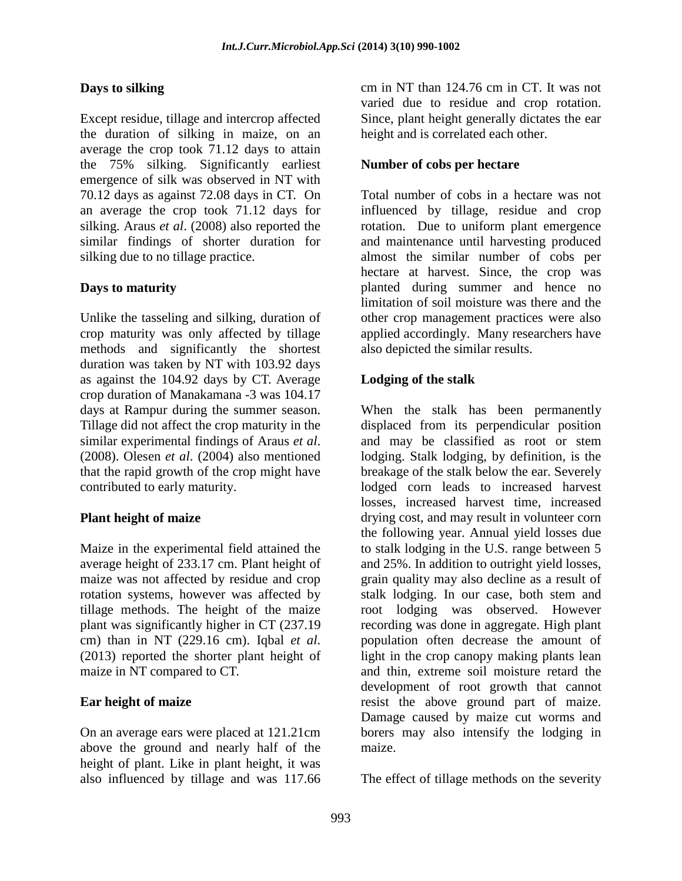### **Days to silking**

Except residue, tillage and intercrop affected the duration of silking in maize, on an average the crop took 71.12 days to attain the 75% silking. Significantly earliest emergence of silk was observed in NT with 70.12 days as against 72.08 days in CT. On an average the crop took 71.12 days for silking. Araus *et al*. (2008) also reported the similar findings of shorter duration for silking due to no tillage practice.

### **Days to maturity**

Unlike the tasseling and silking, duration of crop maturity was only affected by tillage methods and significantly the shortest duration was taken by NT with 103.92 days as against the 104.92 days by CT. Average crop duration of Manakamana -3 was 104.17 days at Rampur during the summer season. Tillage did not affect the crop maturity in the similar experimental findings of Araus *et al*. (2008). Olesen *et al*. (2004) also mentioned that the rapid growth of the crop might have contributed to early maturity.

### **Plant height of maize**

Maize in the experimental field attained the average height of 233.17 cm. Plant height of maize was not affected by residue and crop rotation systems, however was affected by tillage methods. The height of the maize plant was significantly higher in CT (237.19 cm) than in NT (229.16 cm). Iqbal *et al*. (2013) reported the shorter plant height of maize in NT compared to CT.

### **Ear height of maize**

On an average ears were placed at 121.21cm above the ground and nearly half of the height of plant. Like in plant height, it was also influenced by tillage and was 117.66

cm in NT than 124.76 cm in CT. It was not varied due to residue and crop rotation. Since, plant height generally dictates the ear height and is correlated each other.

### **Number of cobs per hectare**

Total number of cobs in a hectare was not influenced by tillage, residue and crop rotation. Due to uniform plant emergence and maintenance until harvesting produced almost the similar number of cobs per hectare at harvest. Since, the crop was planted during summer and hence no limitation of soil moisture was there and the other crop management practices were also applied accordingly. Many researchers have also depicted the similar results.

### **Lodging of the stalk**

When the stalk has been permanently displaced from its perpendicular position and may be classified as root or stem lodging. Stalk lodging, by definition, is the breakage of the stalk below the ear. Severely lodged corn leads to increased harvest losses, increased harvest time, increased drying cost, and may result in volunteer corn the following year. Annual yield losses due to stalk lodging in the U.S. range between 5 and 25%. In addition to outright yield losses, grain quality may also decline as a result of stalk lodging. In our case, both stem and root lodging was observed. However recording was done in aggregate. High plant population often decrease the amount of light in the crop canopy making plants lean and thin, extreme soil moisture retard the development of root growth that cannot resist the above ground part of maize. Damage caused by maize cut worms and borers may also intensify the lodging in maize.

The effect of tillage methods on the severity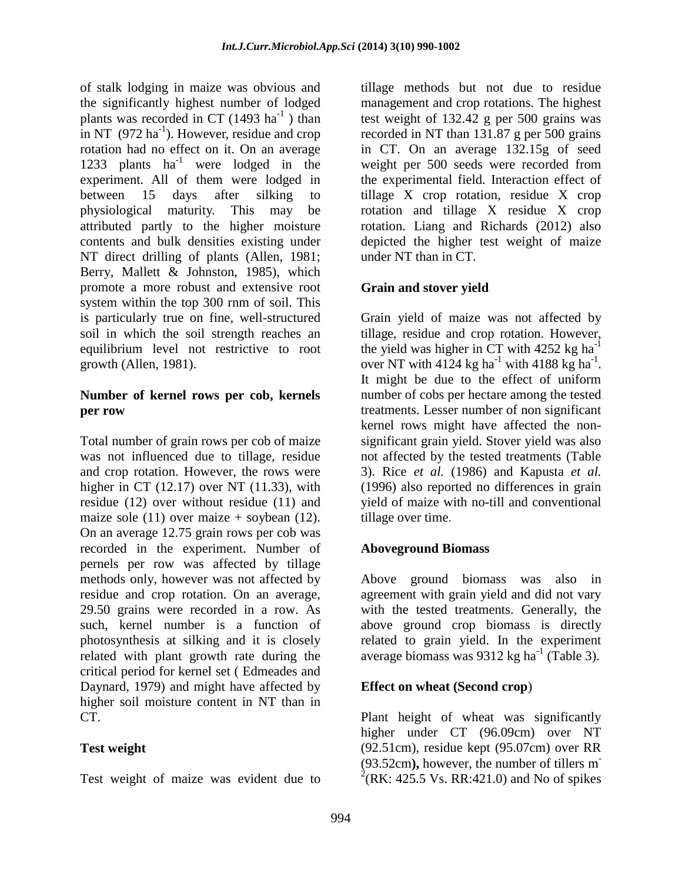of stalk lodging in maize was obvious and the significantly highest number of lodged plants was recorded in CT  $(1493 \text{ ha}^{-1})$  than in NT  $(972 \text{ ha}^{-1})$ . However, residue and crop rotation had no effect on it. On an average 1233 plants  $ha^{-1}$  were lodged in the experiment. All of them were lodged in between 15 days after silking to physiological maturity. This may be attributed partly to the higher moisture contents and bulk densities existing under NT direct drilling of plants (Allen, 1981; Berry, Mallett & Johnston, 1985), which promote a more robust and extensive root system within the top 300 rnm of soil. This is particularly true on fine, well-structured soil in which the soil strength reaches an equilibrium level not restrictive to root growth (Allen, 1981).

### **Number of kernel rows per cob, kernels per row**

Total number of grain rows per cob of maize was not influenced due to tillage, residue and crop rotation. However, the rows were higher in CT  $(12.17)$  over NT  $(11.33)$ , with residue (12) over without residue (11) and maize sole (11) over maize  $+$  soybean (12). On an average 12.75 grain rows per cob was recorded in the experiment. Number of pernels per row was affected by tillage methods only, however was not affected by residue and crop rotation. On an average, 29.50 grains were recorded in a row. As such, kernel number is a function of photosynthesis at silking and it is closely related with plant growth rate during the critical period for kernel set ( Edmeades and Daynard, 1979) and might have affected by higher soil moisture content in NT than in CT.

### **Test weight**

Test weight of maize was evident due to

tillage methods but not due to residue management and crop rotations. The highest test weight of 132.42 g per 500 grains was recorded in NT than 131.87 g per 500 grains in CT. On an average 132.15g of seed weight per 500 seeds were recorded from the experimental field. Interaction effect of tillage X crop rotation, residue X crop rotation and tillage X residue X crop rotation. Liang and Richards (2012) also depicted the higher test weight of maize under NT than in CT.

### **Grain and stover yield**

Grain yield of maize was not affected by tillage, residue and crop rotation. However, the yield was higher in CT with  $4252$  kg ha<sup>-1</sup> over NT with  $4124$  kg ha<sup>-1</sup> with  $4188$  kg ha<sup>-1</sup>. It might be due to the effect of uniform number of cobs per hectare among the tested treatments. Lesser number of non significant kernel rows might have affected the nonsignificant grain yield. Stover yield was also not affected by the tested treatments (Table 3). Rice *et al.* (1986) and Kapusta *et al.* (1996) also reported no differences in grain yield of maize with no-till and conventional tillage over time.

### **Aboveground Biomass**

Above ground biomass was also in agreement with grain yield and did not vary with the tested treatments. Generally, the above ground crop biomass is directly related to grain yield. In the experiment average biomass was 9312 kg ha<sup>-1</sup> (Table 3).

### **Effect on wheat (Second crop**)

Plant height of wheat was significantly higher under CT (96.09cm) over NT (92.51cm), residue kept (95.07cm) over RR (93.52cm**),** however, the number of tillers m -  $^{2}$ (RK: 425.5 Vs. RR:421.0) and No of spikes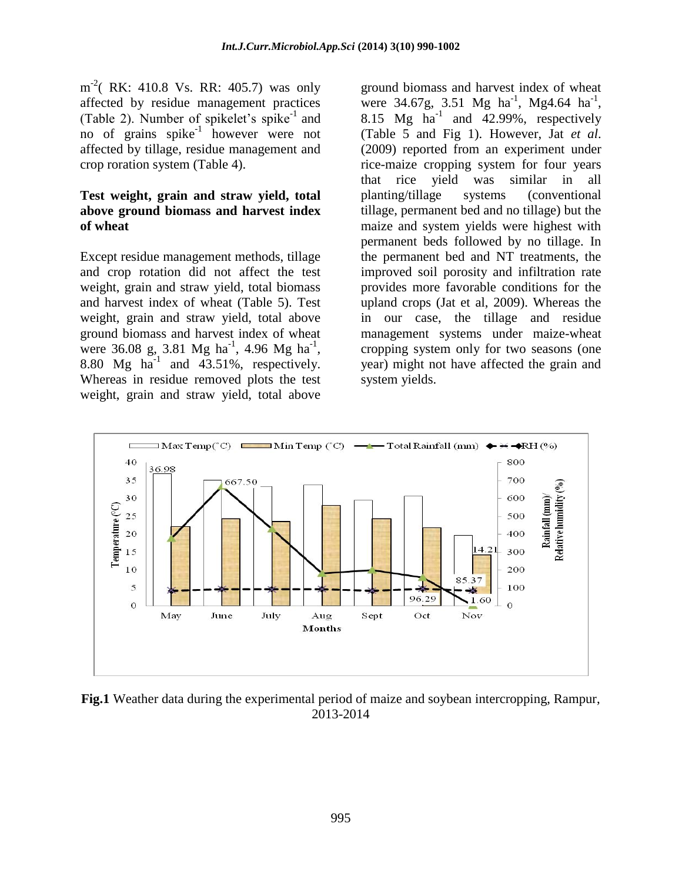$m^{-2}$ ( RK: 410.8 Vs. RR: 405.7) was only affected by residue management practices (Table 2). Number of spikelet's spike-1 and no of grains spike<sup>-1</sup> however were not affected by tillage, residue management and crop roration system (Table 4).

#### **Test weight, grain and straw yield, total above ground biomass and harvest index of wheat**

Except residue management methods, tillage and crop rotation did not affect the test weight, grain and straw yield, total biomass and harvest index of wheat (Table 5). Test weight, grain and straw yield, total above ground biomass and harvest index of wheat were 36.08 g, 3.81 Mg ha<sup>-1</sup>, 4.96 Mg ha<sup>-1</sup>, 8.80 Mg  $ha^{-1}$  and 43.51%, respectively. Whereas in residue removed plots the test weight, grain and straw yield, total above

ground biomass and harvest index of wheat were 34.67g, 3.51 Mg ha<sup>-1</sup>, Mg4.64 ha<sup>-1</sup>, 8.15 Mg  $ha^{-1}$  and 42.99%, respectively (Table 5 and Fig 1). However, Jat *et al*. (2009) reported from an experiment under rice-maize cropping system for four years that rice yield was similar in all planting/tillage systems (conventional tillage, permanent bed and no tillage) but the maize and system yields were highest with permanent beds followed by no tillage. In the permanent bed and NT treatments, the improved soil porosity and infiltration rate provides more favorable conditions for the upland crops (Jat et al, 2009). Whereas the in our case, the tillage and residue management systems under maize-wheat cropping system only for two seasons (one year) might not have affected the grain and system yields.



**Fig.1** Weather data during the experimental period of maize and soybean intercropping, Rampur, 2013-2014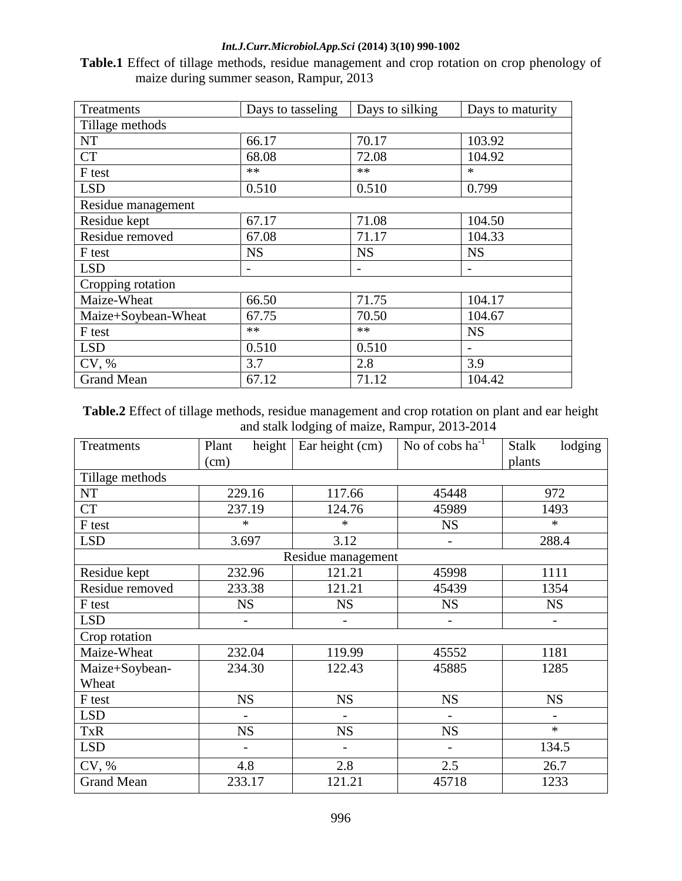### *Int.J.Curr.Microbiol.App.Sci* **(2014) 3(10) 990-1002**

**Table.1** Effect of tillage methods, residue management and crop rotation on crop phenology of maize during summer season, Rampur, 2013

| Treatments          | Days to tasseling | Days to silking          | Days to maturity |  |  |  |
|---------------------|-------------------|--------------------------|------------------|--|--|--|
| Tillage methods     |                   |                          |                  |  |  |  |
| <b>NT</b>           | 66.17             | 70.17                    | 103.92           |  |  |  |
| <b>CT</b>           | 68.08             | 72.08                    | 104.92           |  |  |  |
| F test              | **                | $**$                     | $\ast$           |  |  |  |
| <b>LSD</b>          | 0.510             | 0.510                    | 0.799            |  |  |  |
| Residue management  |                   |                          |                  |  |  |  |
| Residue kept        | 67.17             | 71.08                    | 104.50           |  |  |  |
| Residue removed     | 67.08             | 71.17                    | 104.33           |  |  |  |
| F test              | <b>NS</b>         | <b>NS</b>                | <b>NS</b>        |  |  |  |
| <b>LSD</b>          | -                 | $\overline{\phantom{a}}$ |                  |  |  |  |
| Cropping rotation   |                   |                          |                  |  |  |  |
| Maize-Wheat         | 66.50             | 71.75                    | 104.17           |  |  |  |
| Maize+Soybean-Wheat | 67.75             | 70.50                    | 104.67           |  |  |  |
| F test              | $**$              | **                       | <b>NS</b>        |  |  |  |
| <b>LSD</b>          | 0.510             | 0.510                    |                  |  |  |  |
| CV, %               | 3.7               | 2.8                      | 3.9              |  |  |  |
| <b>Grand Mean</b>   | 67.12             | 71.12                    | 104.42           |  |  |  |

**Table.2** Effect of tillage methods, residue management and crop rotation on plant and ear height and stalk lodging of maize, Rampur, 2013-2014

| Treatments         | height<br>Plant<br>(cm)  | Ear height (cm)          | No of cobs $ha^{-1}$     | lodging<br><b>Stalk</b><br>plants |  |  |
|--------------------|--------------------------|--------------------------|--------------------------|-----------------------------------|--|--|
| Tillage methods    |                          |                          |                          |                                   |  |  |
| NT                 | 229.16                   | 117.66                   | 45448                    | 972                               |  |  |
| <b>CT</b>          | 237.19                   | 124.76                   | 45989                    | 1493                              |  |  |
| F test             | $\ast$                   | $\ast$                   | <b>NS</b>                | $\ast$                            |  |  |
| <b>LSD</b>         | 3.697                    | 3.12                     | $\overline{\phantom{a}}$ | 288.4                             |  |  |
| Residue management |                          |                          |                          |                                   |  |  |
| Residue kept       | 232.96                   | 121.21                   | 45998                    | 1111                              |  |  |
| Residue removed    | 233.38                   | 121.21                   | 45439                    | 1354                              |  |  |
| F test             | <b>NS</b>                | <b>NS</b>                | <b>NS</b>                | <b>NS</b>                         |  |  |
| <b>LSD</b>         | $\overline{\phantom{0}}$ | $\overline{\phantom{a}}$ |                          |                                   |  |  |
| Crop rotation      |                          |                          |                          |                                   |  |  |
| Maize-Wheat        | 232.04                   | 119.99                   | 45552                    | 1181                              |  |  |
| Maize+Soybean-     | 234.30                   | 122.43                   | 45885                    | 1285                              |  |  |
| Wheat              |                          |                          |                          |                                   |  |  |
| F test             | <b>NS</b>                | <b>NS</b>                | <b>NS</b>                | <b>NS</b>                         |  |  |
| <b>LSD</b>         |                          |                          |                          |                                   |  |  |
| <b>TxR</b>         | <b>NS</b>                | <b>NS</b>                | <b>NS</b>                | $\ast$                            |  |  |
| <b>LSD</b>         | $\overline{\phantom{0}}$ | -                        |                          | 134.5                             |  |  |
| CV, %              | 4.8                      | 2.8                      | 2.5                      | 26.7                              |  |  |
| <b>Grand Mean</b>  | 233.17                   | 121.21                   | 45718                    | 1233                              |  |  |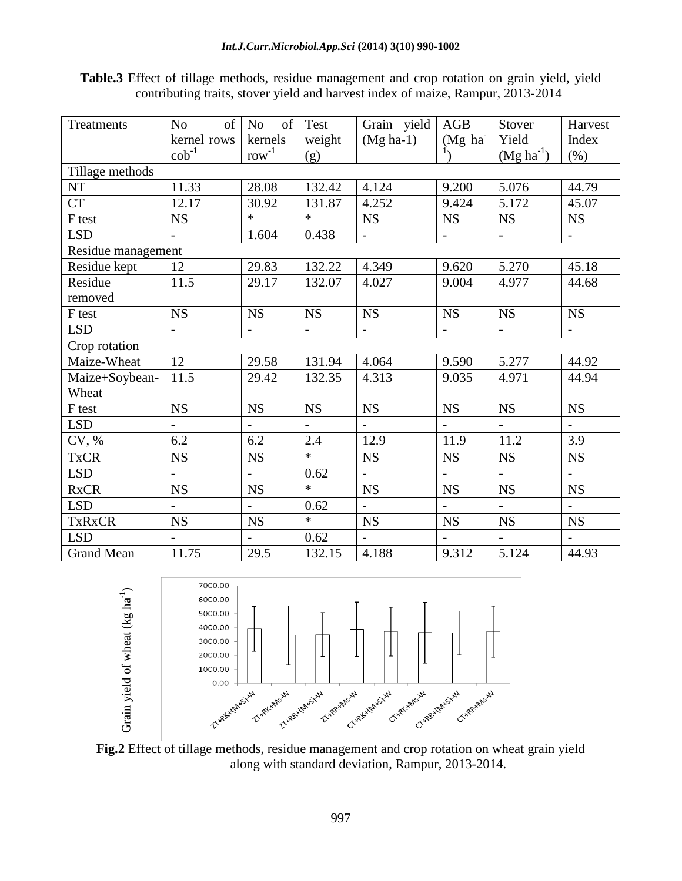**Table.3** Effect of tillage methods, residue management and crop rotation on grain yield, yield contributing traits, stover yield and harvest index of maize, Rampur, 2013-2014

| Treatments         | No<br>of                 | of  <br>N <sub>o</sub>   | Test                     | Grain yield              | AGB                      | Stover                   | Harvest                   |
|--------------------|--------------------------|--------------------------|--------------------------|--------------------------|--------------------------|--------------------------|---------------------------|
|                    | kernel rows              | kernels                  | weight                   | $(Mg \text{ ha-1})$      | (Mg ha                   | Yield                    | Index                     |
|                    | $\cosh^{-1}$             | $row^{-1}$               | (g)                      |                          |                          | $(Mg ha^{-1})$           | $(\% )$                   |
| Tillage methods    |                          |                          |                          |                          |                          |                          |                           |
| <b>NT</b>          | 11.33                    | 28.08                    | 132.42                   | 4.124                    | 9.200                    | 5.076                    | 44.79                     |
| <b>CT</b>          | 12.17                    | 30.92                    | 131.87                   | 4.252                    | 9.424                    | 5.172                    | 45.07                     |
| F test             | <b>NS</b>                | *                        | $\ast$                   | <b>NS</b>                | <b>NS</b>                | <b>NS</b>                | <b>NS</b>                 |
| <b>LSD</b>         | $\overline{\phantom{a}}$ | 1.604                    | 0.438                    | $\overline{\phantom{a}}$ | $\overline{\phantom{0}}$ | $\blacksquare$           | $\overline{\phantom{a}}$  |
| Residue management |                          |                          |                          |                          |                          |                          |                           |
| Residue kept       | 12                       | 29.83                    | 132.22                   | 4.349                    | 9.620                    | 5.270                    | 45.18                     |
| Residue            | 11.5                     | 29.17                    | 132.07                   | 4.027                    | 9.004                    | 4.977                    | 44.68                     |
| removed            |                          |                          |                          |                          |                          |                          |                           |
| F test             | <b>NS</b>                | <b>NS</b>                | <b>NS</b>                | <b>NS</b>                | <b>NS</b>                | <b>NS</b>                | NS                        |
| <b>LSD</b>         | $\overline{\phantom{a}}$ | $\overline{a}$           | $\overline{\phantom{a}}$ | $\overline{\phantom{a}}$ | $\overline{\phantom{0}}$ | $\overline{\phantom{0}}$ | $\mathbb{L}$              |
| Crop rotation      |                          |                          |                          |                          |                          |                          |                           |
| Maize-Wheat        | 12                       | 29.58                    | 131.94                   | 4.064                    | 9.590                    | 5.277                    | 44.92                     |
| Maize+Soybean-     | 11.5                     | 29.42                    | 132.35                   | 4.313                    | 9.035                    | 4.971                    | 44.94                     |
| Wheat              |                          |                          |                          |                          |                          |                          |                           |
| F test             | <b>NS</b>                | <b>NS</b>                | <b>NS</b>                | $_{\rm NS}$              | <b>NS</b>                | <b>NS</b>                | <b>NS</b>                 |
| <b>LSD</b>         | $\overline{\phantom{0}}$ | $\overline{\phantom{a}}$ |                          | $\overline{\phantom{a}}$ | $\overline{\phantom{0}}$ | $\overline{\phantom{0}}$ | $\overline{\phantom{0}}$  |
| CV, %              | 6.2                      | 6.2                      | 2.4                      | 12.9                     | 11.9                     | 11.2                     | 3.9                       |
| <b>TxCR</b>        | <b>NS</b>                | <b>NS</b>                | $\ast$                   | <b>NS</b>                | <b>NS</b>                | <b>NS</b>                | <b>NS</b>                 |
| <b>LSD</b>         | $\overline{\phantom{0}}$ | $\overline{\phantom{0}}$ | 0.62                     | $\overline{\phantom{a}}$ | $\overline{\phantom{0}}$ | $\blacksquare$           | $\mathbb{L}^{\mathbb{N}}$ |
| <b>RxCR</b>        | <b>NS</b>                | <b>NS</b>                | $\ast$                   | <b>NS</b>                | <b>NS</b>                | <b>NS</b>                | <b>NS</b>                 |
| <b>LSD</b>         |                          |                          | 0.62                     |                          |                          | $\overline{a}$           |                           |
| <b>TxRxCR</b>      | <b>NS</b>                | <b>NS</b>                | $\ast$                   | <b>NS</b>                | <b>NS</b>                | <b>NS</b>                | <b>NS</b>                 |
| <b>LSD</b>         |                          |                          | 0.62                     |                          |                          |                          |                           |
| <b>Grand Mean</b>  | 11.75                    | 29.5                     | 132.15                   | 4.188                    | 9.312                    | 5.124                    | 44.93                     |



**Fig.2** Effect of tillage methods, residue management and crop rotation on wheat grain yield along with standard deviation, Rampur, 2013-2014.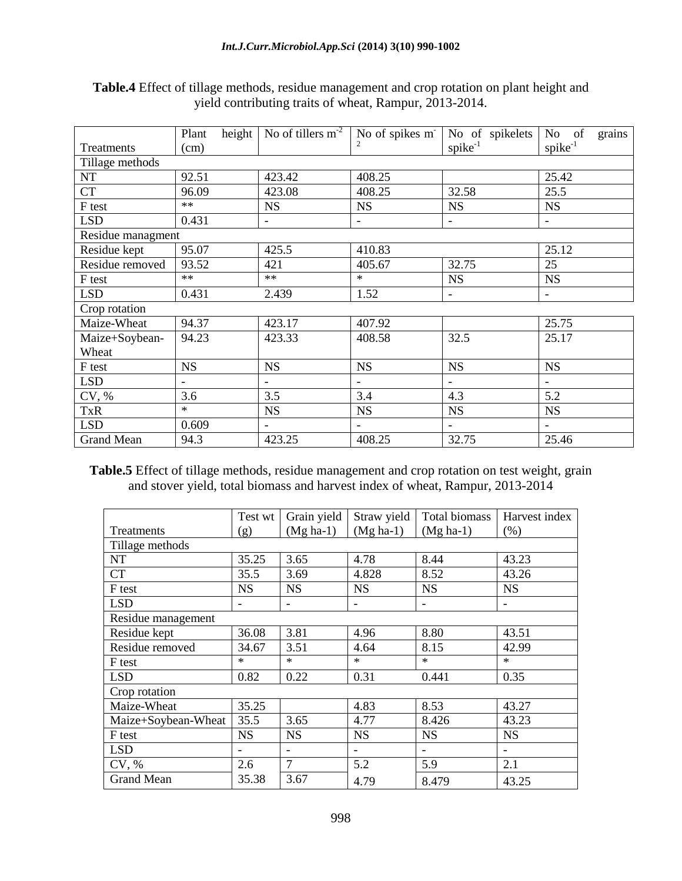|                   | height<br>Plant | No of tillers $m-2$      | No of spikes m <sup>-</sup> | No of spikelets          | grains<br>No of          |
|-------------------|-----------------|--------------------------|-----------------------------|--------------------------|--------------------------|
| Treatments        | (cm)            |                          |                             | $spike^{-1}$             | $spike^{-1}$             |
| Tillage methods   |                 |                          |                             |                          |                          |
| NT                | 92.51           | 423.42                   | 408.25                      |                          | 25.42                    |
| <b>CT</b>         | 96.09           | 423.08                   | 408.25                      | 32.58                    | 25.5                     |
| F test            | $**$            | <b>NS</b>                | <b>NS</b>                   | <b>NS</b>                | <b>NS</b>                |
| <b>LSD</b>        | 0.431           | $\overline{\phantom{a}}$ | $\overline{\phantom{a}}$    | $\overline{\phantom{a}}$ | $\overline{\phantom{0}}$ |
| Residue managment |                 |                          |                             |                          |                          |
| Residue kept      | 95.07           | 425.5                    | 410.83                      |                          | 25.12                    |
| Residue removed   | 93.52           | 421                      | 405.67                      | 32.75                    | 25                       |
| F test            | $**$            | $**$                     | $\ast$                      | <b>NS</b>                | <b>NS</b>                |
| <b>LSD</b>        | 0.431           | 2.439                    | 1.52                        | $\overline{\phantom{a}}$ | $\overline{\phantom{a}}$ |
| Crop rotation     |                 |                          |                             |                          |                          |
| Maize-Wheat       | 94.37           | 423.17                   | 407.92                      |                          | 25.75                    |
| Maize+Soybean-    | 94.23           | 423.33                   | 408.58                      | 32.5                     | 25.17                    |
| Wheat             |                 |                          |                             |                          |                          |
| F test            | <b>NS</b>       | <b>NS</b>                | <b>NS</b>                   | <b>NS</b>                | <b>NS</b>                |
| <b>LSD</b>        |                 |                          |                             |                          |                          |
| CV, %             | 3.6             | 3.5                      | 3.4                         | 4.3                      | 5.2                      |
| <b>TxR</b>        | $\ast$          | <b>NS</b>                | <b>NS</b>                   | <b>NS</b>                | <b>NS</b>                |
| <b>LSD</b>        | 0.609           | $\overline{\phantom{a}}$ |                             | $\overline{\phantom{a}}$ | $\overline{\phantom{a}}$ |
| <b>Grand Mean</b> | 94.3            | 423.25                   | 408.25                      | 32.75                    | 25.46                    |

**Table.4** Effect of tillage methods, residue management and crop rotation on plant height and yield contributing traits of wheat, Rampur, 2013-2014.

**Table.5** Effect of tillage methods, residue management and crop rotation on test weight, grain and stover yield, total biomass and harvest index of wheat, Rampur, 2013-2014

|                     | Test wt   | Grain yield | Straw yield              | Total biomass | Harvest index |
|---------------------|-----------|-------------|--------------------------|---------------|---------------|
| Treatments          | (g)       | $(Mg ha-1)$ | $(Mg ha-1)$              | $(Mg ha-1)$   | (% )          |
| Tillage methods     |           |             |                          |               |               |
| NT                  | 35.25     | 3.65        | 4.78                     | 8.44          | 43.23         |
| <b>CT</b>           | 35.5      | 3.69        | 4.828                    | 8.52          | 43.26         |
| F test              | <b>NS</b> | <b>NS</b>   | <b>NS</b>                | <b>NS</b>     | <b>NS</b>     |
| <b>LSD</b>          |           |             | $\overline{\phantom{a}}$ | -             |               |
| Residue management  |           |             |                          |               |               |
| Residue kept        | 36.08     | 3.81        | 4.96                     | 8.80          | 43.51         |
| Residue removed     | 34.67     | 3.51        | 4.64                     | 8.15          | 42.99         |
| F test              | *         | $\ast$      | $\ast$                   | $\ast$        | $\ast$        |
| <b>LSD</b>          | 0.82      | 0.22        | 0.31                     | 0.441         | 0.35          |
| Crop rotation       |           |             |                          |               |               |
| Maize-Wheat         | 35.25     |             | 4.83                     | 8.53          | 43.27         |
| Maize+Soybean-Wheat | 35.5      | 3.65        | 4.77                     | 8.426         | 43.23         |
| F test              | <b>NS</b> | <b>NS</b>   | <b>NS</b>                | <b>NS</b>     | <b>NS</b>     |
| <b>LSD</b>          |           |             |                          |               |               |
| CV, %               | 2.6       | 7           | 5.2                      | 5.9           | 2.1           |
| <b>Grand Mean</b>   | 35.38     | 3.67        | 4.79                     | 8.479         | 43.25         |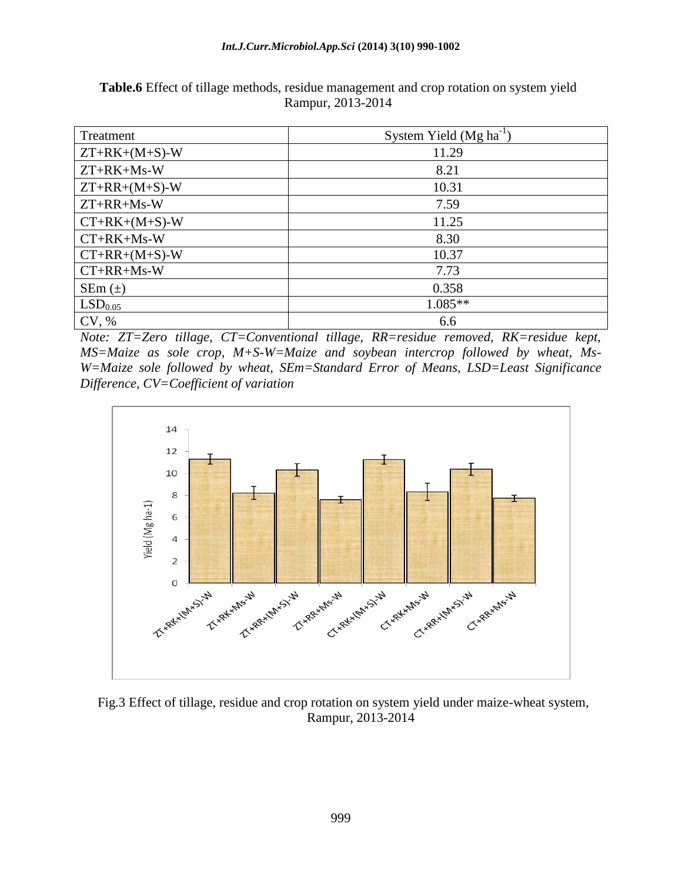#### *Int.J.Curr.Microbiol.App.Sci* **(2014) 3(10) 990-1002**

| Treatment           | System Yield $(Mg ha^{-1})$ |
|---------------------|-----------------------------|
| $ZT+RK+(M+S)-W$     | 11.29                       |
| $ZT+RK+Ms-W$        | 8.21                        |
| $ZT+RR+(M+S)-W$     | 10.31                       |
| $ZT+RR+Ms-W$        | 7.59                        |
| $CT+RK+(M+S)-W$     | 11.25                       |
| $CT+RK+Ms-W$        | 8.30                        |
| $CT+RR+(M+S)-W$     | 10.37                       |
| $CT+RR+Ms-W$        | 7.73                        |
| SEm $(\pm)$         | 0.358                       |
| LSD <sub>0.05</sub> | $1.085**$                   |
| CV, %               | 6.6                         |

**Table.6** Effect of tillage methods, residue management and crop rotation on system yield Rampur, 2013-2014

*Note: ZT=Zero tillage, CT=Conventional tillage, RR=residue removed, RK=residue kept, MS=Maize as sole crop, M+S-W=Maize and soybean intercrop followed by wheat, Ms-W=Maize sole followed by wheat, SEm=Standard Error of Means, LSD=Least Significance Difference, CV=Coefficient of variation*



Fig.3 Effect of tillage, residue and crop rotation on system yield under maize-wheat system, Rampur, 2013-2014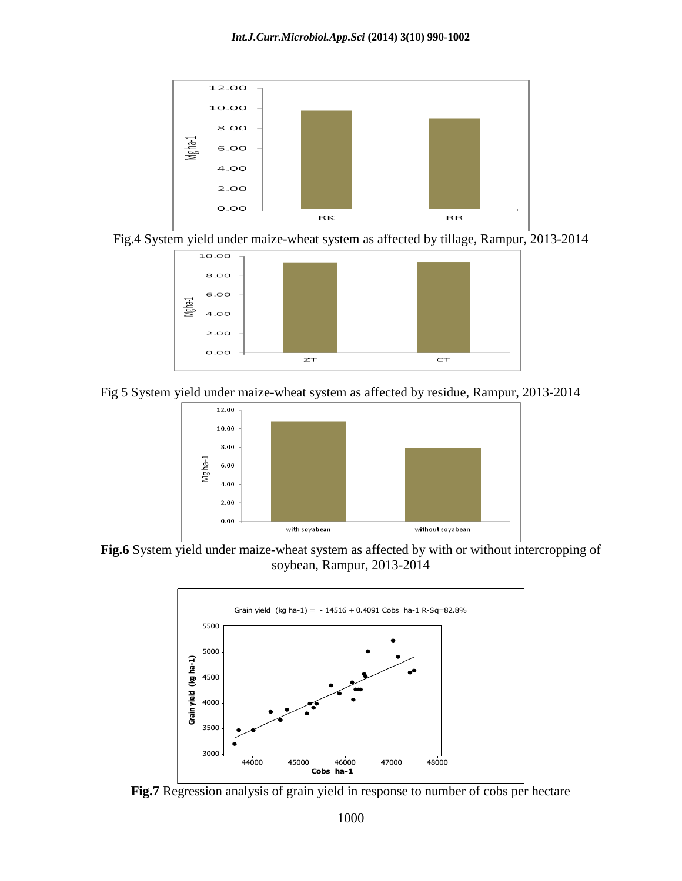





Fig 5 System yield under maize-wheat system as affected by residue, Rampur, 2013-2014



**Fig.6** System yield under maize-wheat system as affected by with or without intercropping of soybean, Rampur, 2013-2014



**Fig.7** Regression analysis of grain yield in response to number of cobs per hectare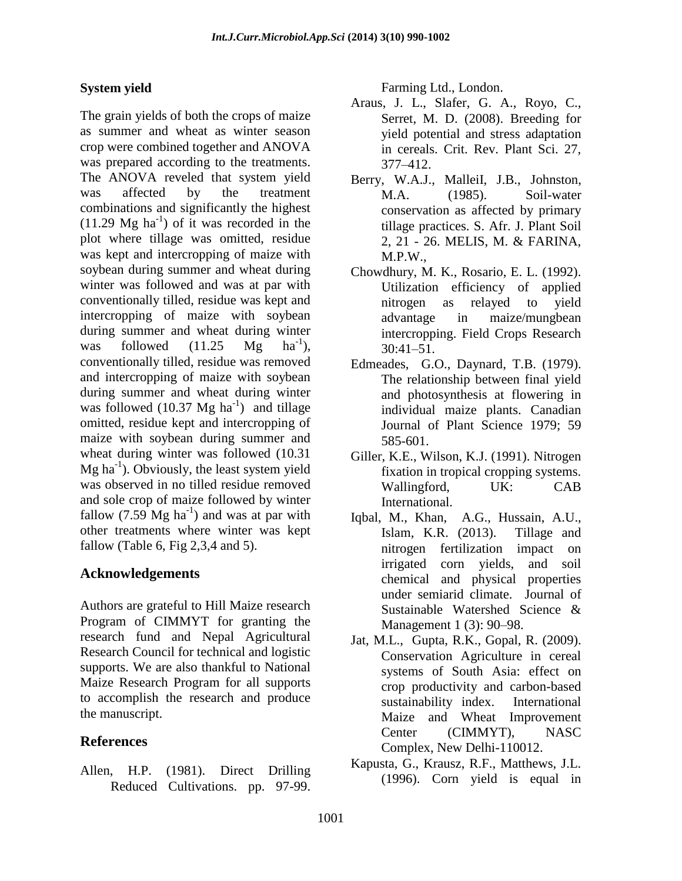## **System yield**

The grain yields of both the crops of maize as summer and wheat as winter season crop were combined together and ANOVA was prepared according to the treatments. The ANOVA reveled that system yield was affected by the treatment combinations and significantly the highest  $(11.29 \text{ Mg ha}^{-1})$  of it was recorded in the plot where tillage was omitted, residue was kept and intercropping of maize with soybean during summer and wheat during winter was followed and was at par with conventionally tilled, residue was kept and intercropping of maize with soybean during summer and wheat during winter was followed  $(11.25 \text{ Mg})$  $ha^{-1}$ ). conventionally tilled, residue was removed and intercropping of maize with soybean during summer and wheat during winter was followed  $(10.37 \text{ Mg ha}^{-1})$  and tillage omitted, residue kept and intercropping of maize with soybean during summer and wheat during winter was followed (10.31  $Mg$  ha<sup>-1</sup>). Obviously, the least system yield was observed in no tilled residue removed and sole crop of maize followed by winter fallow  $(7.59 \text{ Mg ha}^{-1})$  and was at par with other treatments where winter was kept fallow (Table 6, Fig  $2,3,4$  and 5).

## **Acknowledgements**

Authors are grateful to Hill Maize research Program of CIMMYT for granting the research fund and Nepal Agricultural Research Council for technical and logistic supports. We are also thankful to National Maize Research Program for all supports to accomplish the research and produce the manuscript.

## **References**

Allen, H.P. (1981). Direct Drilling Reduced Cultivations. pp. 97-99.

Farming Ltd., London.

- Araus, J. L., Slafer, G. A., Royo, C., Serret, M. D. (2008). Breeding for yield potential and stress adaptation in cereals. Crit. Rev. Plant Sci. 27, 377–412.
- Berry, W.A.J., MalleiI, J.B., Johnston, M.A. (1985). Soil-water conservation as affected by primary tillage practices. S. Afr. J. Plant Soil 2, 21 - 26. MELIS, M. & FARINA, M.P.W.,
- Chowdhury, M. K., Rosario, E. L. (1992). Utilization efficiency of applied nitrogen as relayed to yield advantage in maize/mungbean intercropping. Field Crops Research 30:41–51.
- Edmeades, G.O., Daynard, T.B. (1979). The relationship between final yield and photosynthesis at flowering in individual maize plants. Canadian Journal of Plant Science 1979; 59 585-601.
- Giller, K.E., Wilson, K.J. (1991). Nitrogen fixation in tropical cropping systems. Wallingford, UK: CAB International.
- Iqbal, M., Khan, A.G., Hussain, A.U., Islam, K.R. (2013). Tillage and nitrogen fertilization impact on irrigated corn yields, and soil chemical and physical properties under semiarid climate. Journal of Sustainable Watershed Science & Management 1 (3): 90–98.
- Jat, M.L., Gupta, R.K., Gopal, R. (2009). Conservation Agriculture in cereal systems of South Asia: effect on crop productivity and carbon-based sustainability index. International Maize and Wheat Improvement Center (CIMMYT), NASC Complex, New Delhi-110012.
- Kapusta, G., Krausz, R.F., Matthews, J.L. (1996). Corn yield is equal in